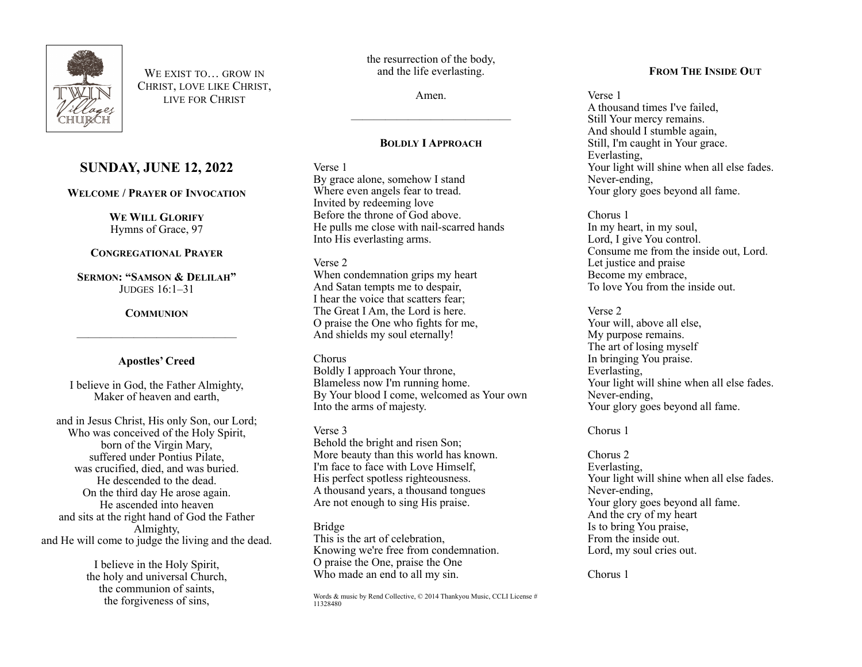

WE EXIST TO **GROW IN** CHRIST, LOVE LIKE CHRIST, LIVE FOR CHRIST

# **SUNDAY, JUNE 12, 2022**

**WELCOME / PRAYER OF INVOCATION**

**WE WILL GLORIFY** Hymns of Grace, 97

# **CONGREGATIONAL PRAYER**

**SERMON: "SAMSON & DELILAH"** JUDGES 16:1–31

### **COMMUNION**

——————————————

# **Apostles' Creed**

I believe in God, the Father Almighty, Maker of heaven and earth,

and in Jesus Christ, His only Son, our Lord; Who was conceived of the Holy Spirit, born of the Virgin Mary, suffered under Pontius Pilate, was crucified, died, and was buried. He descended to the dead. On the third day He arose again. He ascended into heaven and sits at the right hand of God the Father Almighty, and He will come to judge the living and the dead.

> I believe in the Holy Spirit, the holy and universal Church, the communion of saints, the forgiveness of sins,

the resurrection of the body, and the life everlasting.

Amen.

——————————————

### **BOLDLY I APPROACH**

Verse 1

By grace alone, somehow I stand Where even angels fear to tread. Invited by redeeming love Before the throne of God above. He pulls me close with nail-scarred hands Into His everlasting arms.

### Verse 2

When condemnation grips my heart And Satan tempts me to despair, I hear the voice that scatters fear; The Great I Am, the Lord is here. O praise the One who fights for me, And shields my soul eternally!

# Chorus

Boldly I approach Your throne, Blameless now I'm running home. By Your blood I come, welcomed as Your own Into the arms of majesty.

Verse 3

Behold the bright and risen Son; More beauty than this world has known. I'm face to face with Love Himself His perfect spotless righteousness. A thousand years, a thousand tongues Are not enough to sing His praise.

Bridge

This is the art of celebration, Knowing we're free from condemnation. O praise the One, praise the One Who made an end to all my sin.

Words & music by Rend Collective, © 2014 Thankyou Music, CCLI License # 11328480

# **FROM THE INSIDE OUT**

#### Verse 1

A thousand times I've failed, Still Your mercy remains. And should I stumble again, Still, I'm caught in Your grace. Everlasting, Your light will shine when all else fades. Never-ending, Your glory goes beyond all fame.

Chorus 1

In my heart, in my soul, Lord, I give You control. Consume me from the inside out, Lord. Let justice and praise Become my embrace, To love You from the inside out.

Verse 2 Your will, above all else, My purpose remains. The art of losing myself In bringing You praise. Everlasting, Your light will shine when all else fades. Never-ending, Your glory goes beyond all fame.

### Chorus 1

Chorus 2 Everlasting, Your light will shine when all else fades. Never-ending, Your glory goes beyond all fame. And the cry of my heart Is to bring You praise, From the inside out. Lord, my soul cries out.

Chorus 1